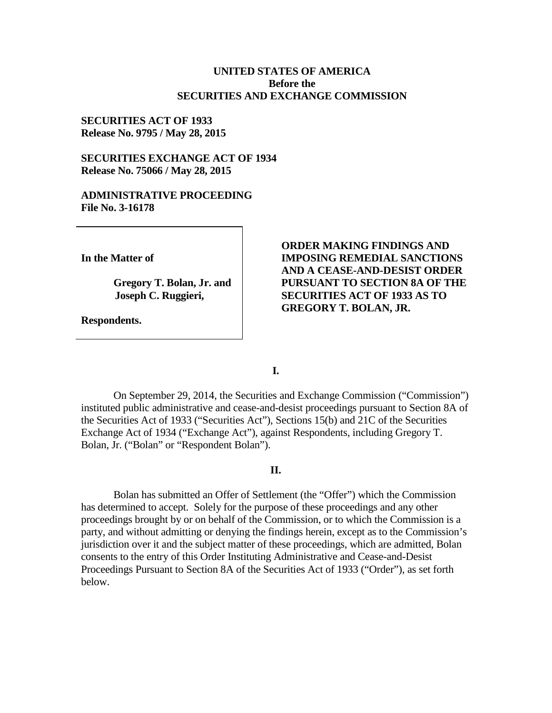### **UNITED STATES OF AMERICA Before the SECURITIES AND EXCHANGE COMMISSION**

## **SECURITIES ACT OF 1933 Release No. 9795 / May 28, 2015**

## **SECURITIES EXCHANGE ACT OF 1934 Release No. 75066 / May 28, 2015**

#### **ADMINISTRATIVE PROCEEDING File No. 3-16178**

**In the Matter of**

**Gregory T. Bolan, Jr. and Joseph C. Ruggieri,** 

**Respondents.**

**ORDER MAKING FINDINGS AND IMPOSING REMEDIAL SANCTIONS AND A CEASE-AND-DESIST ORDER PURSUANT TO SECTION 8A OF THE SECURITIES ACT OF 1933 AS TO GREGORY T. BOLAN, JR.**

**I.**

On September 29, 2014, the Securities and Exchange Commission ("Commission") instituted public administrative and cease-and-desist proceedings pursuant to Section 8A of the Securities Act of 1933 ("Securities Act"), Sections 15(b) and 21C of the Securities Exchange Act of 1934 ("Exchange Act"), against Respondents, including Gregory T. Bolan, Jr. ("Bolan" or "Respondent Bolan").

#### **II.**

Bolan has submitted an Offer of Settlement (the "Offer") which the Commission has determined to accept. Solely for the purpose of these proceedings and any other proceedings brought by or on behalf of the Commission, or to which the Commission is a party, and without admitting or denying the findings herein, except as to the Commission's jurisdiction over it and the subject matter of these proceedings, which are admitted, Bolan consents to the entry of this Order Instituting Administrative and Cease-and-Desist Proceedings Pursuant to Section 8A of the Securities Act of 1933 ("Order"), as set forth below.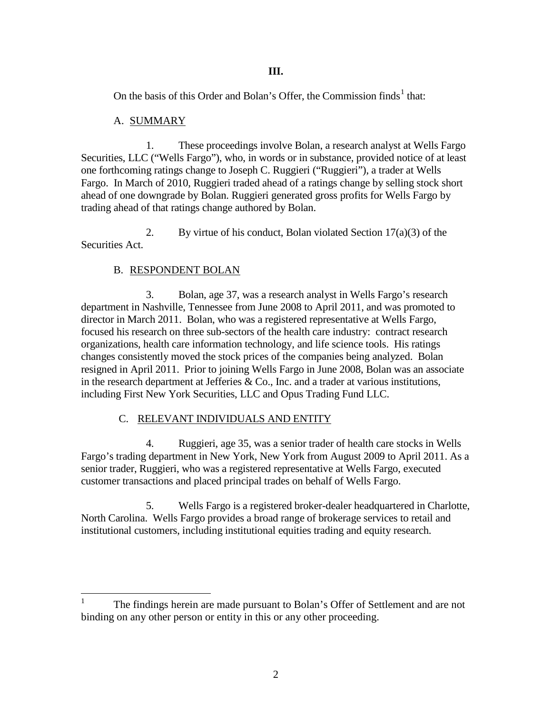## **III.**

On the basis of this Order and Bolan's Offer, the Commission finds<sup>1</sup> that:

## A. SUMMARY

1. These proceedings involve Bolan, a research analyst at Wells Fargo Securities, LLC ("Wells Fargo"), who, in words or in substance, provided notice of at least one forthcoming ratings change to Joseph C. Ruggieri ("Ruggieri"), a trader at Wells Fargo. In March of 2010, Ruggieri traded ahead of a ratings change by selling stock short ahead of one downgrade by Bolan. Ruggieri generated gross profits for Wells Fargo by trading ahead of that ratings change authored by Bolan.

2. By virtue of his conduct, Bolan violated Section  $17(a)(3)$  of the Securities Act.

# B. RESPONDENT BOLAN

3. Bolan, age 37, was a research analyst in Wells Fargo's research department in Nashville, Tennessee from June 2008 to April 2011, and was promoted to director in March 2011. Bolan, who was a registered representative at Wells Fargo, focused his research on three sub-sectors of the health care industry: contract research organizations, health care information technology, and life science tools. His ratings changes consistently moved the stock prices of the companies being analyzed. Bolan resigned in April 2011. Prior to joining Wells Fargo in June 2008, Bolan was an associate in the research department at Jefferies  $\&$  Co., Inc. and a trader at various institutions, including First New York Securities, LLC and Opus Trading Fund LLC.

# C. RELEVANT INDIVIDUALS AND ENTITY

4. Ruggieri, age 35, was a senior trader of health care stocks in Wells Fargo's trading department in New York, New York from August 2009 to April 2011. As a senior trader, Ruggieri, who was a registered representative at Wells Fargo, executed customer transactions and placed principal trades on behalf of Wells Fargo.

5. Wells Fargo is a registered broker-dealer headquartered in Charlotte, North Carolina. Wells Fargo provides a broad range of brokerage services to retail and institutional customers, including institutional equities trading and equity research.

<sup>&</sup>lt;sup>1</sup> The findings herein are made pursuant to Bolan's Offer of Settlement and are not binding on any other person or entity in this or any other proceeding.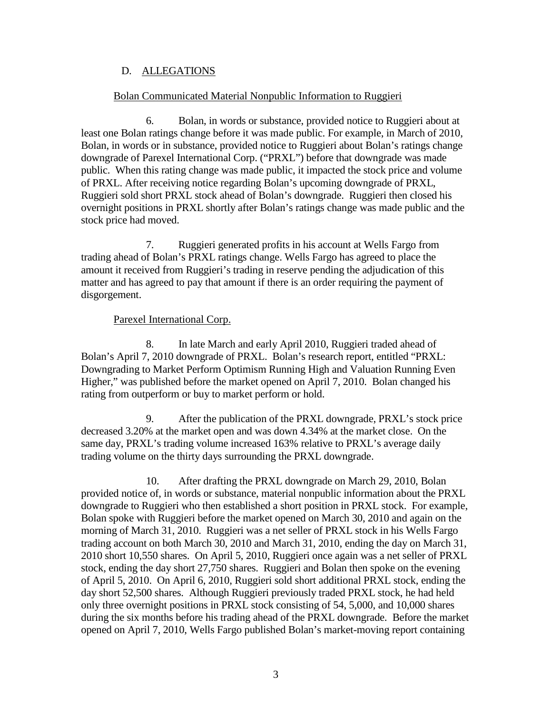# D. ALLEGATIONS

## Bolan Communicated Material Nonpublic Information to Ruggieri

6. Bolan, in words or substance, provided notice to Ruggieri about at least one Bolan ratings change before it was made public. For example, in March of 2010, Bolan, in words or in substance, provided notice to Ruggieri about Bolan's ratings change downgrade of Parexel International Corp. ("PRXL") before that downgrade was made public. When this rating change was made public, it impacted the stock price and volume of PRXL. After receiving notice regarding Bolan's upcoming downgrade of PRXL, Ruggieri sold short PRXL stock ahead of Bolan's downgrade. Ruggieri then closed his overnight positions in PRXL shortly after Bolan's ratings change was made public and the stock price had moved.

7. Ruggieri generated profits in his account at Wells Fargo from trading ahead of Bolan's PRXL ratings change. Wells Fargo has agreed to place the amount it received from Ruggieri's trading in reserve pending the adjudication of this matter and has agreed to pay that amount if there is an order requiring the payment of disgorgement.

## Parexel International Corp.

8. In late March and early April 2010, Ruggieri traded ahead of Bolan's April 7, 2010 downgrade of PRXL. Bolan's research report, entitled "PRXL: Downgrading to Market Perform Optimism Running High and Valuation Running Even Higher," was published before the market opened on April 7, 2010. Bolan changed his rating from outperform or buy to market perform or hold.

9. After the publication of the PRXL downgrade, PRXL's stock price decreased 3.20% at the market open and was down 4.34% at the market close. On the same day, PRXL's trading volume increased 163% relative to PRXL's average daily trading volume on the thirty days surrounding the PRXL downgrade.

10. After drafting the PRXL downgrade on March 29, 2010, Bolan provided notice of, in words or substance, material nonpublic information about the PRXL downgrade to Ruggieri who then established a short position in PRXL stock. For example, Bolan spoke with Ruggieri before the market opened on March 30, 2010 and again on the morning of March 31, 2010. Ruggieri was a net seller of PRXL stock in his Wells Fargo trading account on both March 30, 2010 and March 31, 2010, ending the day on March 31, 2010 short 10,550 shares. On April 5, 2010, Ruggieri once again was a net seller of PRXL stock, ending the day short 27,750 shares. Ruggieri and Bolan then spoke on the evening of April 5, 2010. On April 6, 2010, Ruggieri sold short additional PRXL stock, ending the day short 52,500 shares. Although Ruggieri previously traded PRXL stock, he had held only three overnight positions in PRXL stock consisting of 54, 5,000, and 10,000 shares during the six months before his trading ahead of the PRXL downgrade. Before the market opened on April 7, 2010, Wells Fargo published Bolan's market-moving report containing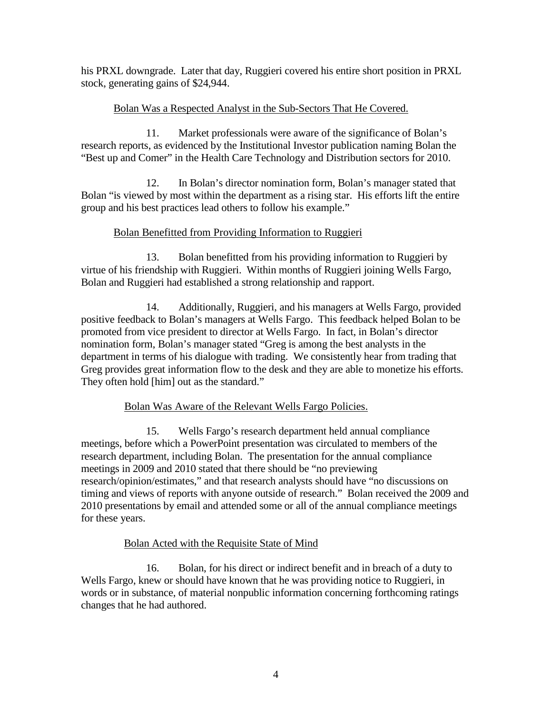his PRXL downgrade. Later that day, Ruggieri covered his entire short position in PRXL stock, generating gains of \$24,944.

# Bolan Was a Respected Analyst in the Sub-Sectors That He Covered.

11. Market professionals were aware of the significance of Bolan's research reports, as evidenced by the Institutional Investor publication naming Bolan the "Best up and Comer" in the Health Care Technology and Distribution sectors for 2010.

12. In Bolan's director nomination form, Bolan's manager stated that Bolan "is viewed by most within the department as a rising star. His efforts lift the entire group and his best practices lead others to follow his example."

# Bolan Benefitted from Providing Information to Ruggieri

13. Bolan benefitted from his providing information to Ruggieri by virtue of his friendship with Ruggieri. Within months of Ruggieri joining Wells Fargo, Bolan and Ruggieri had established a strong relationship and rapport.

14. Additionally, Ruggieri, and his managers at Wells Fargo, provided positive feedback to Bolan's managers at Wells Fargo. This feedback helped Bolan to be promoted from vice president to director at Wells Fargo. In fact, in Bolan's director nomination form, Bolan's manager stated "Greg is among the best analysts in the department in terms of his dialogue with trading. We consistently hear from trading that Greg provides great information flow to the desk and they are able to monetize his efforts. They often hold [him] out as the standard."

# Bolan Was Aware of the Relevant Wells Fargo Policies.

15. Wells Fargo's research department held annual compliance meetings, before which a PowerPoint presentation was circulated to members of the research department, including Bolan. The presentation for the annual compliance meetings in 2009 and 2010 stated that there should be "no previewing research/opinion/estimates," and that research analysts should have "no discussions on timing and views of reports with anyone outside of research." Bolan received the 2009 and 2010 presentations by email and attended some or all of the annual compliance meetings for these years.

# Bolan Acted with the Requisite State of Mind

16. Bolan, for his direct or indirect benefit and in breach of a duty to Wells Fargo, knew or should have known that he was providing notice to Ruggieri, in words or in substance, of material nonpublic information concerning forthcoming ratings changes that he had authored.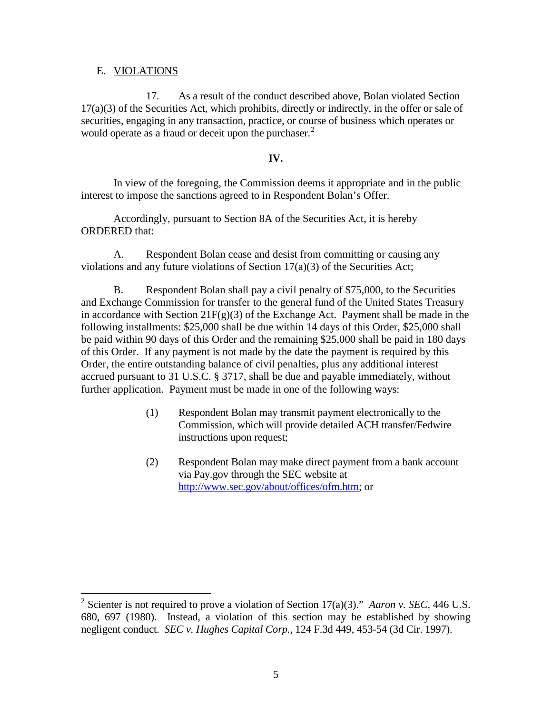#### E. VIOLATIONS

17. As a result of the conduct described above, Bolan violated Section 17(a)(3) of the Securities Act, which prohibits, directly or indirectly, in the offer or sale of securities, engaging in any transaction, practice, or course of business which operates or would operate as a fraud or deceit upon the purchaser. $<sup>2</sup>$ </sup>

### **IV.**

In view of the foregoing, the Commission deems it appropriate and in the public interest to impose the sanctions agreed to in Respondent Bolan's Offer.

Accordingly, pursuant to Section 8A of the Securities Act, it is hereby ORDERED that:

A. Respondent Bolan cease and desist from committing or causing any violations and any future violations of Section 17(a)(3) of the Securities Act;

B. Respondent Bolan shall pay a civil penalty of \$75,000, to the Securities and Exchange Commission for transfer to the general fund of the United States Treasury in accordance with Section  $21F(g)(3)$  of the Exchange Act. Payment shall be made in the following installments: \$25,000 shall be due within 14 days of this Order, \$25,000 shall be paid within 90 days of this Order and the remaining \$25,000 shall be paid in 180 days of this Order. If any payment is not made by the date the payment is required by this Order, the entire outstanding balance of civil penalties, plus any additional interest accrued pursuant to 31 U.S.C. § 3717, shall be due and payable immediately, without further application. Payment must be made in one of the following ways:

- (1) Respondent Bolan may transmit payment electronically to the Commission, which will provide detailed ACH transfer/Fedwire instructions upon request;
- (2) Respondent Bolan may make direct payment from a bank account via Pay.gov through the SEC website at http://www.sec.gov/about/offices/ofm.htm; or

 <sup>2</sup> Scienter is not required to prove a violation of Section 17(a)(3)." *Aaron v. SEC*, 446 U.S. 680, 697 (1980). Instead, a violation of this section may be established by showing negligent conduct. *SEC v. Hughes Capital Corp.*, 124 F.3d 449, 453-54 (3d Cir. 1997).